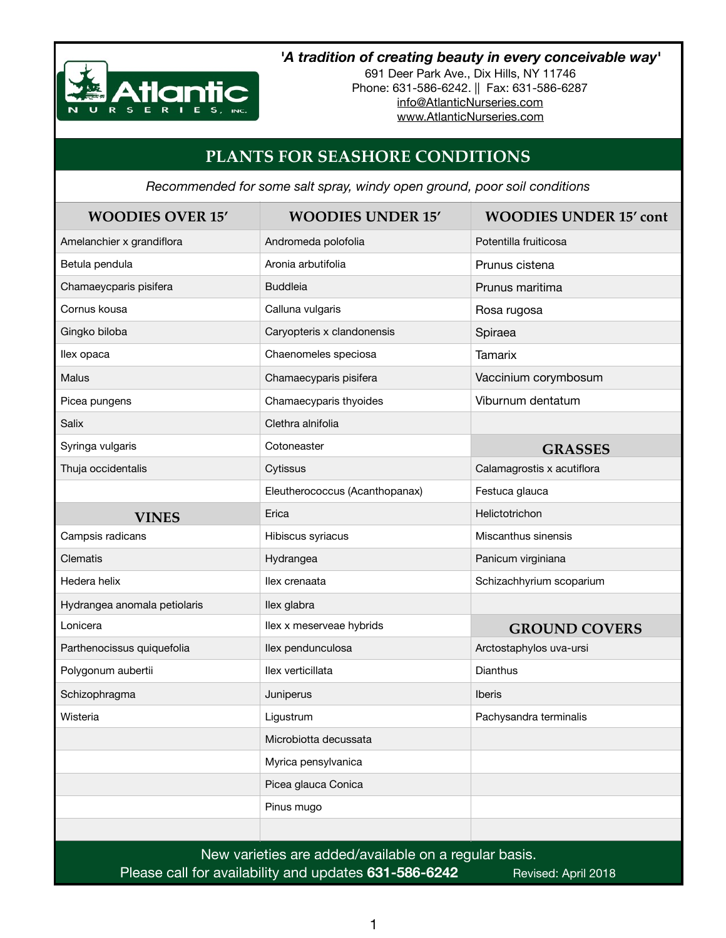

## *'A tradition of creating beauty in every conceivable way'*

691 Deer Park Ave., Dix Hills, NY 11746 Phone: 631-586-6242. || Fax: 631-586-6287 [info@AtlanticNurseries.com](mailto:info@AtlanticNurseries.com) [www.AtlanticNurseries.com](http://www.AtlanticNurseries.com)

## **PLANTS FOR SEASHORE CONDITIONS**

*Recommended for some salt spray, windy open ground, poor soil conditions*

| <b>WOODIES OVER 15'</b>                                                      | <b>WOODIES UNDER 15'</b>       | <b>WOODIES UNDER 15' cont</b> |  |
|------------------------------------------------------------------------------|--------------------------------|-------------------------------|--|
| Amelanchier x grandiflora                                                    | Andromeda polofolia            | Potentilla fruiticosa         |  |
| Betula pendula                                                               | Aronia arbutifolia             | Prunus cistena                |  |
| Chamaeycparis pisifera                                                       | <b>Buddleia</b>                | Prunus maritima               |  |
| Cornus kousa                                                                 | Calluna vulgaris               | Rosa rugosa                   |  |
| Gingko biloba                                                                | Caryopteris x clandonensis     | Spiraea                       |  |
| llex opaca                                                                   | Chaenomeles speciosa           | <b>Tamarix</b>                |  |
| <b>Malus</b>                                                                 | Chamaecyparis pisifera         | Vaccinium corymbosum          |  |
| Picea pungens                                                                | Chamaecyparis thyoides         | Viburnum dentatum             |  |
| Salix                                                                        | Clethra alnifolia              |                               |  |
| Syringa vulgaris                                                             | Cotoneaster                    | <b>GRASSES</b>                |  |
| Thuja occidentalis                                                           | Cytissus                       | Calamagrostis x acutiflora    |  |
|                                                                              | Eleutherococcus (Acanthopanax) | Festuca glauca                |  |
| <b>VINES</b>                                                                 | Erica                          | Helictotrichon                |  |
| Campsis radicans                                                             | Hibiscus syriacus              | Miscanthus sinensis           |  |
| Clematis                                                                     | Hydrangea                      | Panicum virginiana            |  |
| Hedera helix                                                                 | llex crenaata                  | Schizachhyrium scoparium      |  |
| Hydrangea anomala petiolaris                                                 | llex glabra                    |                               |  |
| Lonicera                                                                     | llex x meserveae hybrids       | <b>GROUND COVERS</b>          |  |
| Parthenocissus quiquefolia                                                   | llex pendunculosa              | Arctostaphylos uva-ursi       |  |
| Polygonum aubertii                                                           | llex verticillata              | <b>Dianthus</b>               |  |
| Schizophragma                                                                | Juniperus                      | <b>Iberis</b>                 |  |
| Wisteria                                                                     | Ligustrum                      | Pachysandra terminalis        |  |
|                                                                              | Microbiotta decussata          |                               |  |
|                                                                              | Myrica pensylvanica            |                               |  |
|                                                                              | Picea glauca Conica            |                               |  |
|                                                                              | Pinus mugo                     |                               |  |
|                                                                              |                                |                               |  |
| New varieties are added/available on a regular basis.                        |                                |                               |  |
| Please call for availability and updates 631-586-6242<br>Revised: April 2018 |                                |                               |  |